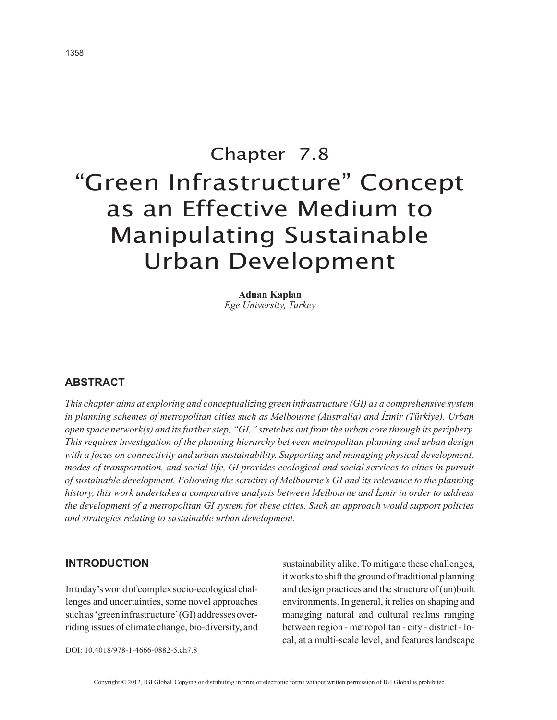# Chapter 7.8 "Green Infrastructure" Concept as an Effective Medium to Manipulating Sustainable Urban Development

**Adnan Kaplan** *Ege University, Turkey*

# **ABSTRACT**

*This chapter aims at exploring and conceptualizing green infrastructure (GI) as a comprehensive system in planning schemes of metropolitan cities such as Melbourne (Australia) and İzmir (Türkiye). Urban open space network(s) and its further step, "GI," stretches out from the urban core through its periphery. This requires investigation of the planning hierarchy between metropolitan planning and urban design*  with a focus on connectivity and urban sustainability. Supporting and managing physical development, *modes of transportation, and social life, GI provides ecological and social services to cities in pursuit of sustainable development. Following the scrutiny of Melbourne's GI and its relevance to the planning history, this work undertakes a comparative analysis between Melbourne and İzmir in order to address the development of a metropolitan GI system for these cities. Such an approach would support policies and strategies relating to sustainable urban development.*

#### **INTRODUCTION**

In today's world of complex socio-ecological challenges and uncertainties, some novel approaches such as 'green infrastructure' (GI) addresses overriding issues of climate change, bio-diversity, and sustainability alike. To mitigate these challenges, it works to shift the ground of traditional planning and design practices and the structure of (un)built environments. In general, it relies on shaping and managing natural and cultural realms ranging between region - metropolitan - city - district - local, at a multi-scale level, and features landscape

DOI: 10.4018/978-1-4666-0882-5.ch7.8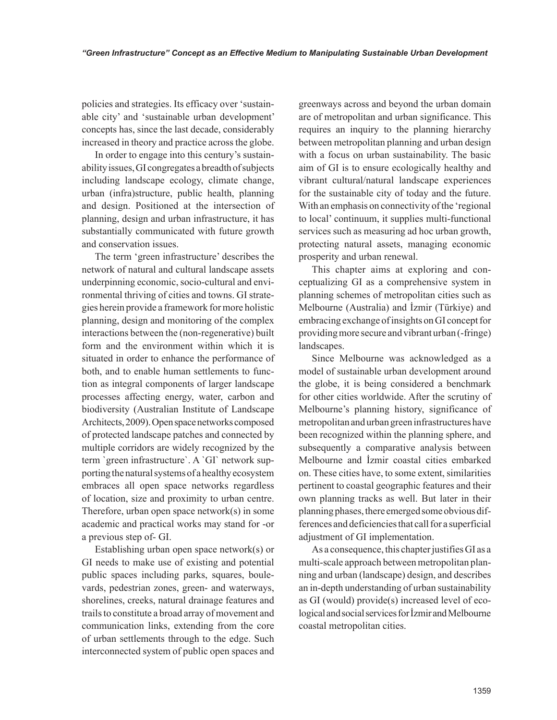policies and strategies. Its efficacy over 'sustainable city' and 'sustainable urban development' concepts has, since the last decade, considerably increased in theory and practice across the globe.

In order to engage into this century's sustainability issues, GI congregates a breadth of subjects including landscape ecology, climate change, urban (infra)structure, public health, planning and design. Positioned at the intersection of planning, design and urban infrastructure, it has substantially communicated with future growth and conservation issues.

The term 'green infrastructure' describes the network of natural and cultural landscape assets underpinning economic, socio-cultural and environmental thriving of cities and towns. GI strategies herein provide a framework for more holistic planning, design and monitoring of the complex interactions between the (non-regenerative) built form and the environment within which it is situated in order to enhance the performance of both, and to enable human settlements to function as integral components of larger landscape processes affecting energy, water, carbon and biodiversity (Australian Institute of Landscape Architects, 2009). Open space networks composed of protected landscape patches and connected by multiple corridors are widely recognized by the term `green infrastructure`. A `GI` network supporting the natural systems of a healthy ecosystem embraces all open space networks regardless of location, size and proximity to urban centre. Therefore, urban open space network(s) in some academic and practical works may stand for -or a previous step of- GI.

Establishing urban open space network(s) or GI needs to make use of existing and potential public spaces including parks, squares, boulevards, pedestrian zones, green- and waterways, shorelines, creeks, natural drainage features and trails to constitute a broad array of movement and communication links, extending from the core of urban settlements through to the edge. Such interconnected system of public open spaces and

greenways across and beyond the urban domain are of metropolitan and urban significance. This requires an inquiry to the planning hierarchy between metropolitan planning and urban design with a focus on urban sustainability. The basic aim of GI is to ensure ecologically healthy and vibrant cultural/natural landscape experiences for the sustainable city of today and the future. With an emphasis on connectivity of the 'regional to local' continuum, it supplies multi-functional services such as measuring ad hoc urban growth, protecting natural assets, managing economic prosperity and urban renewal.

This chapter aims at exploring and conceptualizing GI as a comprehensive system in planning schemes of metropolitan cities such as Melbourne (Australia) and İzmir (Türkiye) and embracing exchange of insights on GI concept for providing more secure and vibrant urban (-fringe) landscapes.

Since Melbourne was acknowledged as a model of sustainable urban development around the globe, it is being considered a benchmark for other cities worldwide. After the scrutiny of Melbourne's planning history, significance of metropolitan and urban green infrastructures have been recognized within the planning sphere, and subsequently a comparative analysis between Melbourne and İzmir coastal cities embarked on. These cities have, to some extent, similarities pertinent to coastal geographic features and their own planning tracks as well. But later in their planning phases, there emerged some obvious differences and deficiencies that call for a superficial adjustment of GI implementation.

As a consequence, this chapter justifies GI as a multi-scale approach between metropolitan planning and urban (landscape) design, and describes an in-depth understanding of urban sustainability as GI (would) provide(s) increased level of ecological and social services for İzmir and Melbourne coastal metropolitan cities.